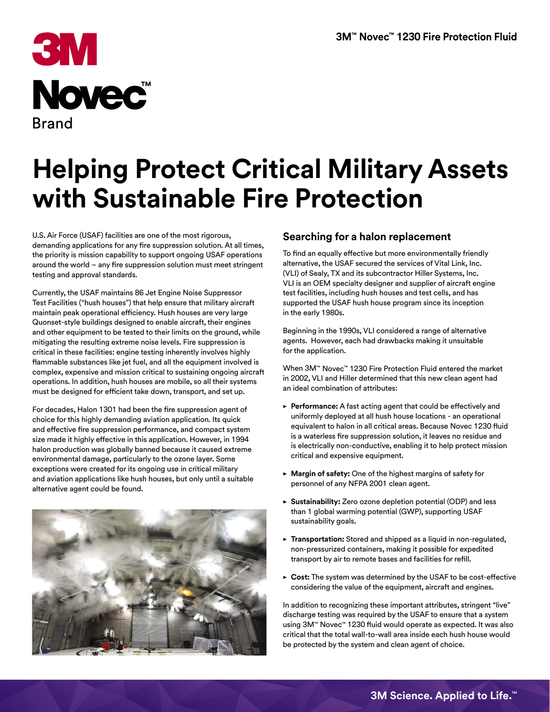

# **Helping Protect Critical Military Assets with Sustainable Fire Protection**

U.S. Air Force (USAF) facilities are one of the most rigorous, demanding applications for any fire suppression solution. At all times, the priority is mission capability to support ongoing USAF operations around the world – any fire suppression solution must meet stringent testing and approval standards.

Currently, the USAF maintains 86 Jet Engine Noise Suppressor Test Facilities ("hush houses") that help ensure that military aircraft maintain peak operational efficiency. Hush houses are very large Quonset-style buildings designed to enable aircraft, their engines and other equipment to be tested to their limits on the ground, while mitigating the resulting extreme noise levels. Fire suppression is critical in these facilities: engine testing inherently involves highly flammable substances like jet fuel, and all the equipment involved is complex, expensive and mission critical to sustaining ongoing aircraft operations. In addition, hush houses are mobile, so all their systems must be designed for efficient take down, transport, and set up.

For decades, Halon 1301 had been the fire suppression agent of choice for this highly demanding aviation application. Its quick and effective fire suppression performance, and compact system size made it highly effective in this application. However, in 1994 halon production was globally banned because it caused extreme environmental damage, particularly to the ozone layer. Some exceptions were created for its ongoing use in critical military and aviation applications like hush houses, but only until a suitable alternative agent could be found.



#### **Searching for a halon replacement**

To find an equally effective but more environmentally friendly alternative, the USAF secured the services of Vital Link, Inc. (VLI) of Sealy, TX and its subcontractor Hiller Systems, Inc. VLI is an OEM specialty designer and supplier of aircraft engine test facilities, including hush houses and test cells, and has supported the USAF hush house program since its inception in the early 1980s.

Beginning in the 1990s, VLI considered a range of alternative agents. However, each had drawbacks making it unsuitable for the application.

When 3M™ Novec™ 1230 Fire Protection Fluid entered the market in 2002, VLI and Hiller determined that this new clean agent had an ideal combination of attributes:

- ▶ **Performance:** A fast acting agent that could be effectively and uniformly deployed at all hush house locations - an operational equivalent to halon in all critical areas. Because Novec 1230 fluid is a waterless fire suppression solution, it leaves no residue and is electrically non-conductive, enabling it to help protect mission critical and expensive equipment.
- � **Margin of safety:** One of the highest margins of safety for personnel of any NFPA 2001 clean agent.
- � **Sustainability:** Zero ozone depletion potential (ODP) and less than 1 global warming potential (GWP), supporting USAF sustainability goals.
- � **Transportation:** Stored and shipped as a liquid in non-regulated, non-pressurized containers, making it possible for expedited transport by air to remote bases and facilities for refill.
- ► Cost: The system was determined by the USAF to be cost-effective considering the value of the equipment, aircraft and engines.

In addition to recognizing these important attributes, stringent "live" discharge testing was required by the USAF to ensure that a system using 3M™ Novec™ 1230 fluid would operate as expected. It was also critical that the total wall-to-wall area inside each hush house would be protected by the system and clean agent of choice.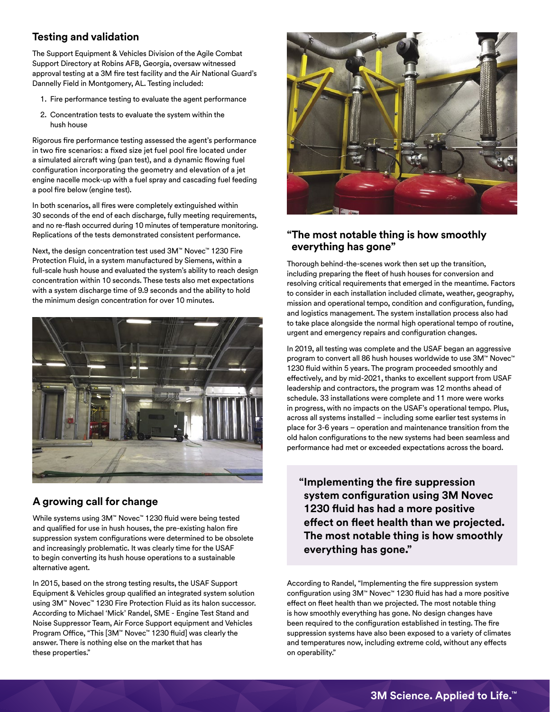### **Testing and validation**

The Support Equipment & Vehicles Division of the Agile Combat Support Directory at Robins AFB, Georgia, oversaw witnessed approval testing at a 3M fire test facility and the Air National Guard's Dannelly Field in Montgomery, AL. Testing included:

- 1. Fire performance testing to evaluate the agent performance
- 2. Concentration tests to evaluate the system within the hush house

Rigorous fire performance testing assessed the agent's performance in two fire scenarios: a fixed size jet fuel pool fire located under a simulated aircraft wing (pan test), and a dynamic flowing fuel configuration incorporating the geometry and elevation of a jet engine nacelle mock-up with a fuel spray and cascading fuel feeding a pool fire below (engine test).

In both scenarios, all fires were completely extinguished within 30 seconds of the end of each discharge, fully meeting requirements, and no re-flash occurred during 10 minutes of temperature monitoring. Replications of the tests demonstrated consistent performance.

Next, the design concentration test used 3M™ Novec™ 1230 Fire Protection Fluid, in a system manufactured by Siemens, within a full-scale hush house and evaluated the system's ability to reach design concentration within 10 seconds. These tests also met expectations with a system discharge time of 9.9 seconds and the ability to hold the minimum design concentration for over 10 minutes.



### **A growing call for change**

While systems using 3M™ Novec™ 1230 fluid were being tested and qualified for use in hush houses, the pre-existing halon fire suppression system configurations were determined to be obsolete and increasingly problematic. It was clearly time for the USAF to begin converting its hush house operations to a sustainable alternative agent.

In 2015, based on the strong testing results, the USAF Support Equipment & Vehicles group qualified an integrated system solution using 3M™ Novec™ 1230 Fire Protection Fluid as its halon successor. According to Michael 'Mick' Randel, SME - Engine Test Stand and Noise Suppressor Team, Air Force Support equipment and Vehicles Program Office, "This [3M™ Novec™ 1230 fluid] was clearly the answer. There is nothing else on the market that has these properties."



#### **"The most notable thing is how smoothly everything has gone"**

Thorough behind-the-scenes work then set up the transition, including preparing the fleet of hush houses for conversion and resolving critical requirements that emerged in the meantime. Factors to consider in each installation included climate, weather, geography, mission and operational tempo, condition and configuration, funding, and logistics management. The system installation process also had to take place alongside the normal high operational tempo of routine, urgent and emergency repairs and configuration changes.

In 2019, all testing was complete and the USAF began an aggressive program to convert all 86 hush houses worldwide to use 3M™ Novec™ 1230 fluid within 5 years. The program proceeded smoothly and effectively, and by mid-2021, thanks to excellent support from USAF leadership and contractors, the program was 12 months ahead of schedule. 33 installations were complete and 11 more were works in progress, with no impacts on the USAF's operational tempo. Plus, across all systems installed – including some earlier test systems in place for 3-6 years – operation and maintenance transition from the old halon configurations to the new systems had been seamless and performance had met or exceeded expectations across the board.

**"Implementing the fire suppression system configuration using 3M Novec 1230 fluid has had a more positive effect on fleet health than we projected. The most notable thing is how smoothly everything has gone."**

According to Randel, "Implementing the fire suppression system configuration using 3M™ Novec™ 1230 fluid has had a more positive effect on fleet health than we projected. The most notable thing is how smoothly everything has gone. No design changes have been required to the configuration established in testing. The fire suppression systems have also been exposed to a variety of climates and temperatures now, including extreme cold, without any effects on operability."